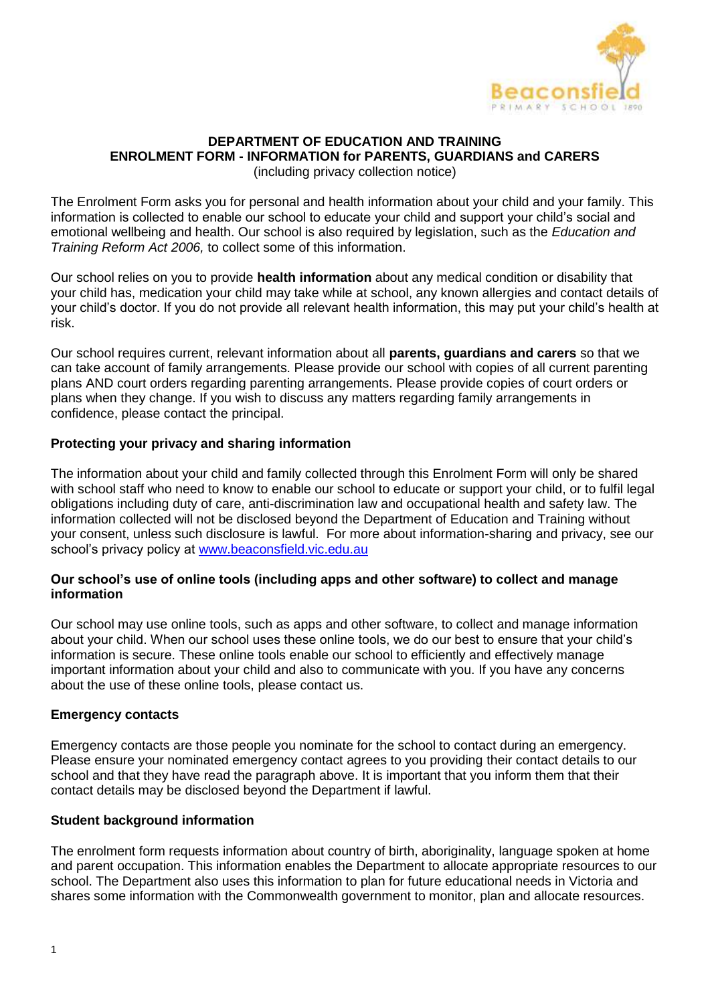

### **DEPARTMENT OF EDUCATION AND TRAINING ENROLMENT FORM - INFORMATION for PARENTS, GUARDIANS and CARERS**

(including privacy collection notice)

The Enrolment Form asks you for personal and health information about your child and your family. This information is collected to enable our school to educate your child and support your child's social and emotional wellbeing and health. Our school is also required by legislation, such as the *Education and Training Reform Act 2006,* to collect some of this information.

Our school relies on you to provide **health information** about any medical condition or disability that your child has, medication your child may take while at school, any known allergies and contact details of your child's doctor. If you do not provide all relevant health information, this may put your child's health at risk.

Our school requires current, relevant information about all **parents, guardians and carers** so that we can take account of family arrangements. Please provide our school with copies of all current parenting plans AND court orders regarding parenting arrangements. Please provide copies of court orders or plans when they change. If you wish to discuss any matters regarding family arrangements in confidence, please contact the principal.

#### **Protecting your privacy and sharing information**

The information about your child and family collected through this Enrolment Form will only be shared with school staff who need to know to enable our school to educate or support your child, or to fulfil legal obligations including duty of care, anti-discrimination law and occupational health and safety law. The information collected will not be disclosed beyond the Department of Education and Training without your consent, unless such disclosure is lawful. For more about information-sharing and privacy, see our school's privacy policy at [www.beaconsfield.vic.edu.au](http://www.beaconsfield.vic.edu.au/)

#### **Our school's use of online tools (including apps and other software) to collect and manage information**

Our school may use online tools, such as apps and other software, to collect and manage information about your child. When our school uses these online tools, we do our best to ensure that your child's information is secure. These online tools enable our school to efficiently and effectively manage important information about your child and also to communicate with you. If you have any concerns about the use of these online tools, please contact us.

#### **Emergency contacts**

Emergency contacts are those people you nominate for the school to contact during an emergency. Please ensure your nominated emergency contact agrees to you providing their contact details to our school and that they have read the paragraph above. It is important that you inform them that their contact details may be disclosed beyond the Department if lawful.

#### **Student background information**

The enrolment form requests information about country of birth, aboriginality, language spoken at home and parent occupation. This information enables the Department to allocate appropriate resources to our school. The Department also uses this information to plan for future educational needs in Victoria and shares some information with the Commonwealth government to monitor, plan and allocate resources.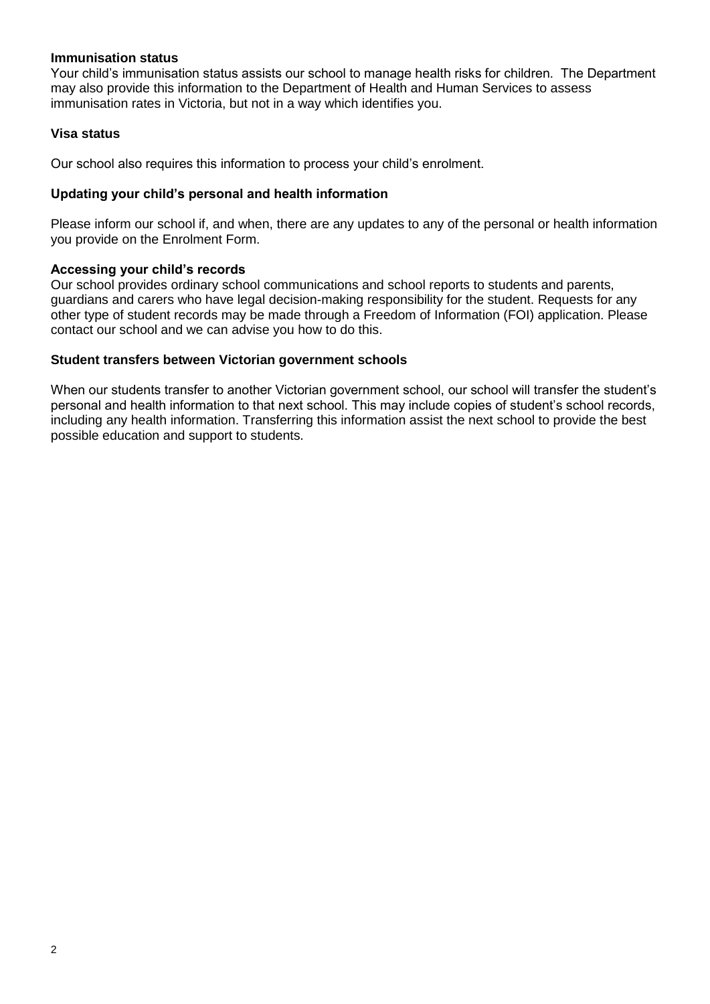#### **Immunisation status**

Your child's immunisation status assists our school to manage health risks for children. The Department may also provide this information to the Department of Health and Human Services to assess immunisation rates in Victoria, but not in a way which identifies you.

#### **Visa status**

Our school also requires this information to process your child's enrolment.

#### **Updating your child's personal and health information**

Please inform our school if, and when, there are any updates to any of the personal or health information you provide on the Enrolment Form.

#### **Accessing your child's records**

Our school provides ordinary school communications and school reports to students and parents, guardians and carers who have legal decision-making responsibility for the student. Requests for any other type of student records may be made through a Freedom of Information (FOI) application. Please contact our school and we can advise you how to do this.

#### **Student transfers between Victorian government schools**

When our students transfer to another Victorian government school, our school will transfer the student's personal and health information to that next school. This may include copies of student's school records, including any health information. Transferring this information assist the next school to provide the best possible education and support to students.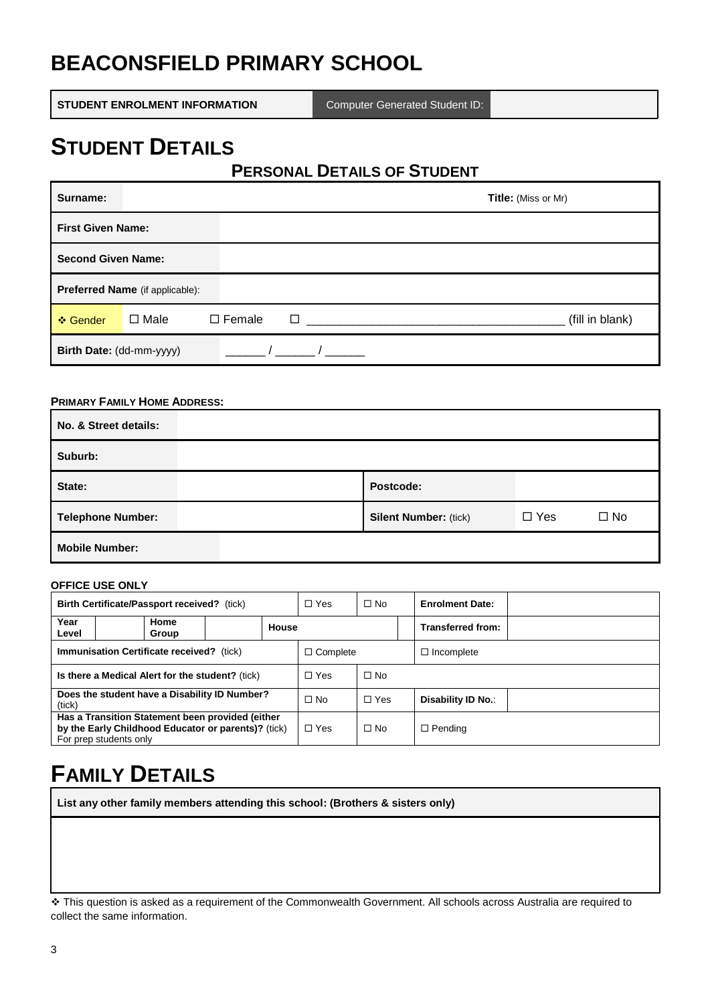# **BEACONSFIELD PRIMARY SCHOOL**

**STUDENT ENROLMENT INFORMATION** Computer Generated Student ID:

# **STUDENT DETAILS**

## **PERSONAL DETAILS OF STUDENT**

| Surname:                               |             |                            | <b>Title:</b> (Miss or Mr) |
|----------------------------------------|-------------|----------------------------|----------------------------|
| <b>First Given Name:</b>               |             |                            |                            |
| <b>Second Given Name:</b>              |             |                            |                            |
| <b>Preferred Name</b> (if applicable): |             |                            |                            |
| ❖ Gender                               | $\Box$ Male | $\square$ Female<br>$\Box$ | (fill in blank)            |
| Birth Date: (dd-mm-yyyy)               |             |                            |                            |

#### **PRIMARY FAMILY HOME ADDRESS:**

| No. & Street details:    |                              |                            |  |  |  |  |
|--------------------------|------------------------------|----------------------------|--|--|--|--|
| Suburb:                  |                              |                            |  |  |  |  |
| State:                   | Postcode:                    |                            |  |  |  |  |
| <b>Telephone Number:</b> | <b>Silent Number: (tick)</b> | $\Box$ Yes<br>$\square$ No |  |  |  |  |
| <b>Mobile Number:</b>    |                              |                            |  |  |  |  |

#### **OFFICE USE ONLY**

| Birth Certificate/Passport received? (tick)                                                                                       |               | $\Box$ Yes | $\Box$ No  | <b>Enrolment Date:</b>               |  |                   |  |
|-----------------------------------------------------------------------------------------------------------------------------------|---------------|------------|------------|--------------------------------------|--|-------------------|--|
| Year<br>Level                                                                                                                     | Home<br>Group |            | House      |                                      |  | Transferred from: |  |
| Immunisation Certificate received? (tick)                                                                                         |               |            |            | $\Box$ Complete<br>$\Box$ Incomplete |  |                   |  |
| Is there a Medical Alert for the student? (tick)                                                                                  |               | $\Box$ Yes | $\Box$ No  |                                      |  |                   |  |
| Does the student have a Disability ID Number?<br>(tick)                                                                           |               | $\Box$ No  | $\Box$ Yes | Disability ID No.:                   |  |                   |  |
| Has a Transition Statement been provided (either<br>by the Early Childhood Educator or parents)? (tick)<br>For prep students only |               | $\Box$ Yes | $\Box$ No  | $\Box$ Pending                       |  |                   |  |

# **FAMILY DETAILS**

**List any other family members attending this school: (Brothers & sisters only)**

 This question is asked as a requirement of the Commonwealth Government. All schools across Australia are required to collect the same information.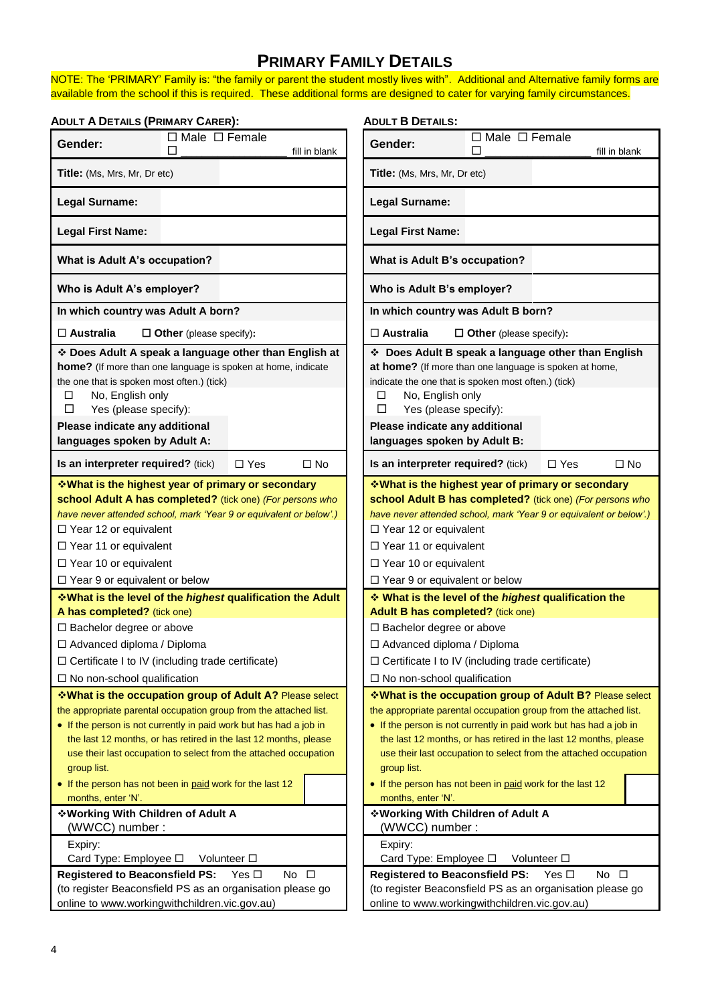# **PRIMARY FAMILY DETAILS**

NOTE: The 'PRIMARY' Family is: "the family or parent the student mostly lives with". Additional and Alternative family forms are available from the school if this is required. These additional forms are designed to cater for varying family circumstances.

| <b>ADULT A DETAILS (PRIMARY CARER):</b>                                                                                                                             |                                                                                                                                                                                                                                                                                                                                            |               | <b>ADULT B DETAILS:</b>                                                                                                                                                                                                                                                                                                                                   |                                |                            |              |
|---------------------------------------------------------------------------------------------------------------------------------------------------------------------|--------------------------------------------------------------------------------------------------------------------------------------------------------------------------------------------------------------------------------------------------------------------------------------------------------------------------------------------|---------------|-----------------------------------------------------------------------------------------------------------------------------------------------------------------------------------------------------------------------------------------------------------------------------------------------------------------------------------------------------------|--------------------------------|----------------------------|--------------|
| Gender:                                                                                                                                                             | $\Box$ Male $\Box$ Female<br>П                                                                                                                                                                                                                                                                                                             | fill in blank | Gender:                                                                                                                                                                                                                                                                                                                                                   | $\Box$ Male $\Box$ Female<br>П | fill in blank              |              |
| <b>Title:</b> (Ms, Mrs, Mr, Dr etc)                                                                                                                                 |                                                                                                                                                                                                                                                                                                                                            |               | <b>Title:</b> (Ms, Mrs, Mr, Dr etc)                                                                                                                                                                                                                                                                                                                       |                                |                            |              |
| <b>Legal Surname:</b>                                                                                                                                               |                                                                                                                                                                                                                                                                                                                                            |               | <b>Legal Surname:</b>                                                                                                                                                                                                                                                                                                                                     |                                |                            |              |
| <b>Legal First Name:</b>                                                                                                                                            |                                                                                                                                                                                                                                                                                                                                            |               | <b>Legal First Name:</b>                                                                                                                                                                                                                                                                                                                                  |                                |                            |              |
| What is Adult A's occupation?                                                                                                                                       |                                                                                                                                                                                                                                                                                                                                            |               | What is Adult B's occupation?                                                                                                                                                                                                                                                                                                                             |                                |                            |              |
| Who is Adult A's employer?                                                                                                                                          |                                                                                                                                                                                                                                                                                                                                            |               | Who is Adult B's employer?                                                                                                                                                                                                                                                                                                                                |                                |                            |              |
| In which country was Adult A born?                                                                                                                                  |                                                                                                                                                                                                                                                                                                                                            |               | In which country was Adult B born?                                                                                                                                                                                                                                                                                                                        |                                |                            |              |
| $\square$ Australia                                                                                                                                                 | $\Box$ Other (please specify):                                                                                                                                                                                                                                                                                                             |               | $\square$ Australia                                                                                                                                                                                                                                                                                                                                       | $\Box$ Other (please specify): |                            |              |
| the one that is spoken most often.) (tick)<br>No, English only<br>□<br>Yes (please specify):<br>□<br>Please indicate any additional<br>languages spoken by Adult A: | * Does Adult A speak a language other than English at<br>home? (If more than one language is spoken at home, indicate                                                                                                                                                                                                                      |               | Does Adult B speak a language other than English<br>at home? (If more than one language is spoken at home,<br>indicate the one that is spoken most often.) (tick)<br>No, English only<br>□<br>Yes (please specify):<br>□<br>Please indicate any additional<br>languages spoken by Adult B:                                                                |                                |                            |              |
| Is an interpreter required? (tick)                                                                                                                                  | $\Box$ Yes                                                                                                                                                                                                                                                                                                                                 | $\Box$ No     | Is an interpreter required? (tick)                                                                                                                                                                                                                                                                                                                        |                                | $\Box$ Yes                 | $\square$ No |
| $\Box$ Year 12 or equivalent<br>$\Box$ Year 11 or equivalent<br>$\Box$ Year 10 or equivalent<br>$\Box$ Year 9 or equivalent or below                                | <b>What is the highest year of primary or secondary</b><br>school Adult A has completed? (tick one) (For persons who<br>have never attended school, mark 'Year 9 or equivalent or below'.)                                                                                                                                                 |               | <b>Vhat is the highest year of primary or secondary</b><br>school Adult B has completed? (tick one) (For persons who<br>have never attended school, mark 'Year 9 or equivalent or below'.)<br>$\Box$ Year 12 or equivalent<br>$\Box$ Year 11 or equivalent<br>$\Box$ Year 10 or equivalent<br>$\Box$ Year 9 or equivalent or below                        |                                |                            |              |
|                                                                                                                                                                     | <b>What is the level of the highest qualification the Adult</b>                                                                                                                                                                                                                                                                            |               | What is the level of the highest qualification the                                                                                                                                                                                                                                                                                                        |                                |                            |              |
| A has completed? (tick one)                                                                                                                                         |                                                                                                                                                                                                                                                                                                                                            |               | Adult B has completed? (tick one)                                                                                                                                                                                                                                                                                                                         |                                |                            |              |
| $\Box$ Bachelor degree or above                                                                                                                                     |                                                                                                                                                                                                                                                                                                                                            |               | □ Bachelor degree or above                                                                                                                                                                                                                                                                                                                                |                                |                            |              |
| $\Box$ Advanced diploma / Diploma                                                                                                                                   |                                                                                                                                                                                                                                                                                                                                            |               | $\Box$ Advanced diploma / Diploma                                                                                                                                                                                                                                                                                                                         |                                |                            |              |
|                                                                                                                                                                     | $\Box$ Certificate I to IV (including trade certificate)                                                                                                                                                                                                                                                                                   |               | $\Box$ Certificate I to IV (including trade certificate)                                                                                                                                                                                                                                                                                                  |                                |                            |              |
| $\Box$ No non-school qualification                                                                                                                                  |                                                                                                                                                                                                                                                                                                                                            |               | $\Box$ No non-school qualification                                                                                                                                                                                                                                                                                                                        |                                |                            |              |
| group list.                                                                                                                                                         | *What is the occupation group of Adult A? Please select<br>the appropriate parental occupation group from the attached list.<br>• If the person is not currently in paid work but has had a job in<br>the last 12 months, or has retired in the last 12 months, please<br>use their last occupation to select from the attached occupation |               | *What is the occupation group of Adult B? Please select<br>the appropriate parental occupation group from the attached list.<br>• If the person is not currently in paid work but has had a job in<br>the last 12 months, or has retired in the last 12 months, please<br>use their last occupation to select from the attached occupation<br>group list. |                                |                            |              |
| months, enter 'N'.                                                                                                                                                  | • If the person has not been in paid work for the last 12                                                                                                                                                                                                                                                                                  |               | • If the person has not been in paid work for the last 12<br>months, enter 'N'.                                                                                                                                                                                                                                                                           |                                |                            |              |
| ❖ Working With Children of Adult A                                                                                                                                  |                                                                                                                                                                                                                                                                                                                                            |               | ❖ Working With Children of Adult A                                                                                                                                                                                                                                                                                                                        |                                |                            |              |
| (WWCC) number :                                                                                                                                                     |                                                                                                                                                                                                                                                                                                                                            |               | (WWCC) number:                                                                                                                                                                                                                                                                                                                                            |                                |                            |              |
| Expiry:                                                                                                                                                             |                                                                                                                                                                                                                                                                                                                                            |               | Expiry:                                                                                                                                                                                                                                                                                                                                                   |                                |                            |              |
| Card Type: Employee □                                                                                                                                               | Volunteer □                                                                                                                                                                                                                                                                                                                                |               | Card Type: Employee □                                                                                                                                                                                                                                                                                                                                     | Volunteer □                    |                            |              |
| <b>Registered to Beaconsfield PS:</b>                                                                                                                               | No $\square$<br>Yes $\Box$                                                                                                                                                                                                                                                                                                                 |               | <b>Registered to Beaconsfield PS:</b>                                                                                                                                                                                                                                                                                                                     |                                | No $\square$<br>Yes $\Box$ |              |
|                                                                                                                                                                     | (to register Beaconsfield PS as an organisation please go                                                                                                                                                                                                                                                                                  |               | (to register Beaconsfield PS as an organisation please go                                                                                                                                                                                                                                                                                                 |                                |                            |              |
|                                                                                                                                                                     | online to www.workingwithchildren.vic.gov.au)                                                                                                                                                                                                                                                                                              |               | online to www.workingwithchildren.vic.gov.au)                                                                                                                                                                                                                                                                                                             |                                |                            |              |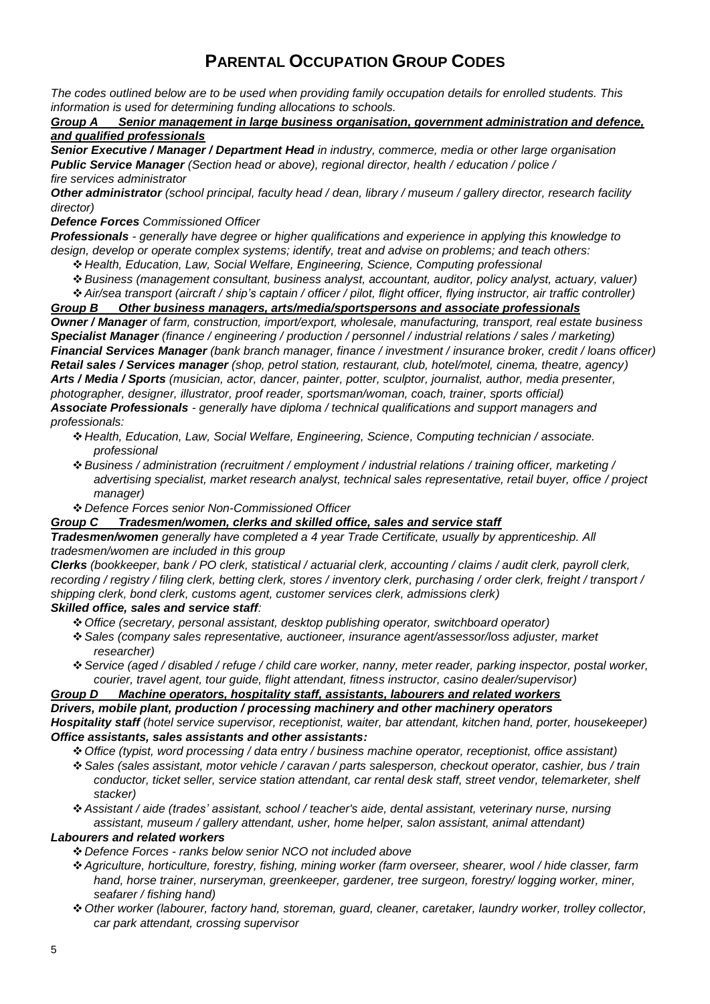## **PARENTAL OCCUPATION GROUP CODES**

*The codes outlined below are to be used when providing family occupation details for enrolled students. This information is used for determining funding allocations to schools.* 

#### *Group A Senior management in large business organisation, government administration and defence, and qualified professionals*

*Senior Executive / Manager / Department Head in industry, commerce, media or other large organisation Public Service Manager (Section head or above), regional director, health / education / police / fire services administrator*

*Other administrator (school principal, faculty head / dean, library / museum / gallery director, research facility director)*

#### *Defence Forces Commissioned Officer*

*Professionals - generally have degree or higher qualifications and experience in applying this knowledge to design, develop or operate complex systems; identify, treat and advise on problems; and teach others:*

- *Health, Education, Law, Social Welfare, Engineering, Science, Computing professional*
- *Business (management consultant, business analyst, accountant, auditor, policy analyst, actuary, valuer)*
- *Air/sea transport (aircraft / ship's captain / officer / pilot, flight officer, flying instructor, air traffic controller)*

#### *Group B Other business managers, arts/media/sportspersons and associate professionals*

*Owner / Manager of farm, construction, import/export, wholesale, manufacturing, transport, real estate business Specialist Manager (finance / engineering / production / personnel / industrial relations / sales / marketing) Financial Services Manager (bank branch manager, finance / investment / insurance broker, credit / loans officer) Retail sales / Services manager (shop, petrol station, restaurant, club, hotel/motel, cinema, theatre, agency) Arts / Media / Sports (musician, actor, dancer, painter, potter, sculptor, journalist, author, media presenter, photographer, designer, illustrator, proof reader, sportsman/woman, coach, trainer, sports official) Associate Professionals - generally have diploma / technical qualifications and support managers and professionals:*

- *Health, Education, Law, Social Welfare, Engineering, Science, Computing technician / associate. professional*
- *Business / administration (recruitment / employment / industrial relations / training officer, marketing / advertising specialist, market research analyst, technical sales representative, retail buyer, office / project manager)*
- *Defence Forces senior Non-Commissioned Officer*

#### *Group C Tradesmen/women, clerks and skilled office, sales and service staff*

*Tradesmen/women generally have completed a 4 year Trade Certificate, usually by apprenticeship. All tradesmen/women are included in this group*

*Clerks (bookkeeper, bank / PO clerk, statistical / actuarial clerk, accounting / claims / audit clerk, payroll clerk, recording / registry / filing clerk, betting clerk, stores / inventory clerk, purchasing / order clerk, freight / transport / shipping clerk, bond clerk, customs agent, customer services clerk, admissions clerk) Skilled office, sales and service staff:*

- *Office (secretary, personal assistant, desktop publishing operator, switchboard operator)*
- *Sales (company sales representative, auctioneer, insurance agent/assessor/loss adjuster, market researcher)*
- *Service (aged / disabled / refuge / child care worker, nanny, meter reader, parking inspector, postal worker, courier, travel agent, tour guide, flight attendant, fitness instructor, casino dealer/supervisor)*

### *Group D Machine operators, hospitality staff, assistants, labourers and related workers*

*Drivers, mobile plant, production / processing machinery and other machinery operators Hospitality staff (hotel service supervisor, receptionist, waiter, bar attendant, kitchen hand, porter, housekeeper) Office assistants, sales assistants and other assistants:*

- *Office (typist, word processing / data entry / business machine operator, receptionist, office assistant)*
- *Sales (sales assistant, motor vehicle / caravan / parts salesperson, checkout operator, cashier, bus / train conductor, ticket seller, service station attendant, car rental desk staff, street vendor, telemarketer, shelf stacker)*
- *Assistant / aide (trades' assistant, school / teacher's aide, dental assistant, veterinary nurse, nursing assistant, museum / gallery attendant, usher, home helper, salon assistant, animal attendant)*

#### *Labourers and related workers*

*Defence Forces - ranks below senior NCO not included above*

- *Agriculture, horticulture, forestry, fishing, mining worker (farm overseer, shearer, wool / hide classer, farm hand, horse trainer, nurseryman, greenkeeper, gardener, tree surgeon, forestry/ logging worker, miner, seafarer / fishing hand)*
- *Other worker (labourer, factory hand, storeman, guard, cleaner, caretaker, laundry worker, trolley collector, car park attendant, crossing supervisor*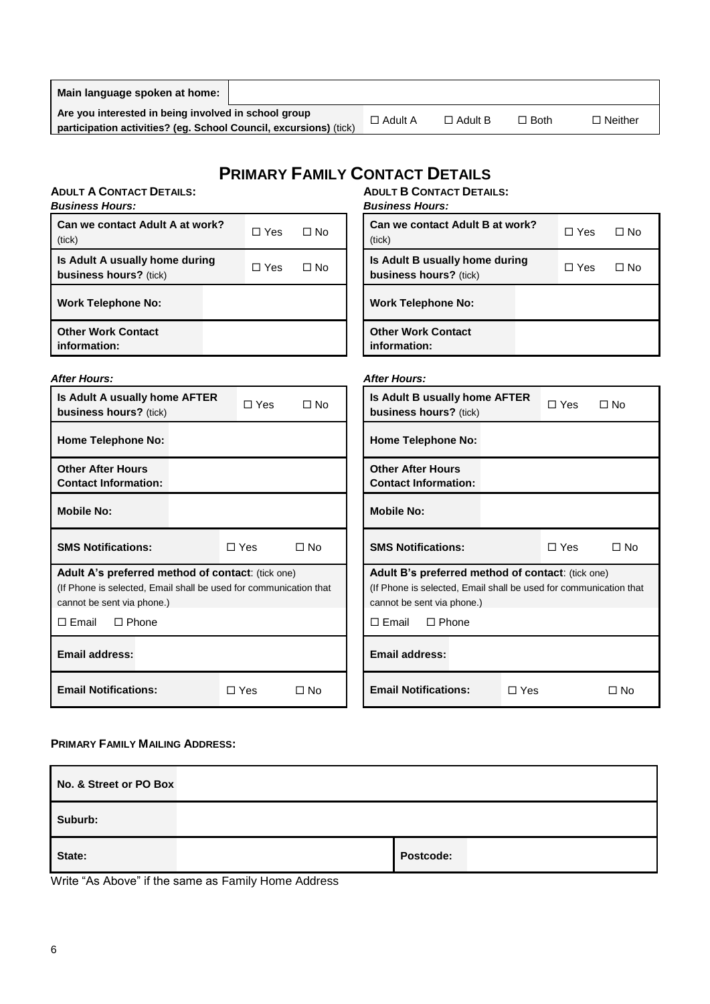| Main language spoken at home:                                                                                             |                |                |             |                |
|---------------------------------------------------------------------------------------------------------------------------|----------------|----------------|-------------|----------------|
| Are you interested in being involved in school group<br>participation activities? (eg. School Council, excursions) (tick) | $\Box$ Adult A | $\Box$ Adult B | $\Box$ Both | $\Box$ Neither |
|                                                                                                                           |                |                |             |                |

# **PRIMARY FAMILY CONTACT DETAILS**

| <b>ADULT A CONTACT DETAILS:</b><br><b>Business Hours:</b>                                                                                            |            |              | <b>ADULT B CONTACT DETAILS:</b><br><b>Business Hours:</b>                                                                                            |
|------------------------------------------------------------------------------------------------------------------------------------------------------|------------|--------------|------------------------------------------------------------------------------------------------------------------------------------------------------|
| Can we contact Adult A at work?<br>(tick)                                                                                                            | $\Box$ Yes | $\Box$ No    | Can we contact Adult B at work?<br>$\Box$ No<br>□ Yes<br>(tick)                                                                                      |
| Is Adult A usually home during<br>business hours? (tick)                                                                                             | $\Box$ Yes | $\Box$ No    | Is Adult B usually home during<br>□ Yes<br>$\square$ No<br>business hours? (tick)                                                                    |
| <b>Work Telephone No:</b>                                                                                                                            |            |              | <b>Work Telephone No:</b>                                                                                                                            |
| <b>Other Work Contact</b><br>information:                                                                                                            |            |              | <b>Other Work Contact</b><br>information:                                                                                                            |
| <b>After Hours:</b>                                                                                                                                  |            |              | <b>After Hours:</b>                                                                                                                                  |
| Is Adult A usually home AFTER<br>business hours? (tick)                                                                                              | $\Box$ Yes | $\Box$ No    | Is Adult B usually home AFTER<br>$\Box$ Yes<br>$\Box$ No<br>business hours? (tick)                                                                   |
| <b>Home Telephone No:</b>                                                                                                                            |            |              | <b>Home Telephone No:</b>                                                                                                                            |
| <b>Other After Hours</b><br><b>Contact Information:</b>                                                                                              |            |              | <b>Other After Hours</b><br><b>Contact Information:</b>                                                                                              |
| <b>Mobile No:</b>                                                                                                                                    |            |              | <b>Mobile No:</b>                                                                                                                                    |
| <b>SMS Notifications:</b>                                                                                                                            | $\Box$ Yes | $\square$ No | <b>SMS Notifications:</b><br>$\square$ Yes<br>$\square$ No                                                                                           |
| Adult A's preferred method of contact: (tick one)<br>(If Phone is selected, Email shall be used for communication that<br>cannot be sent via phone.) |            |              | Adult B's preferred method of contact: (tick one)<br>(If Phone is selected, Email shall be used for communication that<br>cannot be sent via phone.) |
| $\square$ Email<br>$\Box$ Phone                                                                                                                      |            |              | $\Box$ Email<br>$\Box$ Phone                                                                                                                         |
| <b>Email address:</b>                                                                                                                                |            |              | <b>Email address:</b>                                                                                                                                |
| <b>Email Notifications:</b>                                                                                                                          | $\Box$ Yes | $\Box$ No    | <b>Email Notifications:</b><br>$\Box$ Yes<br>$\Box$ No                                                                                               |

#### **PRIMARY FAMILY MAILING ADDRESS:**

| No. & Street or PO Box |           |
|------------------------|-----------|
| Suburb:                |           |
| State:                 | Postcode: |

Write "As Above" if the same as Family Home Address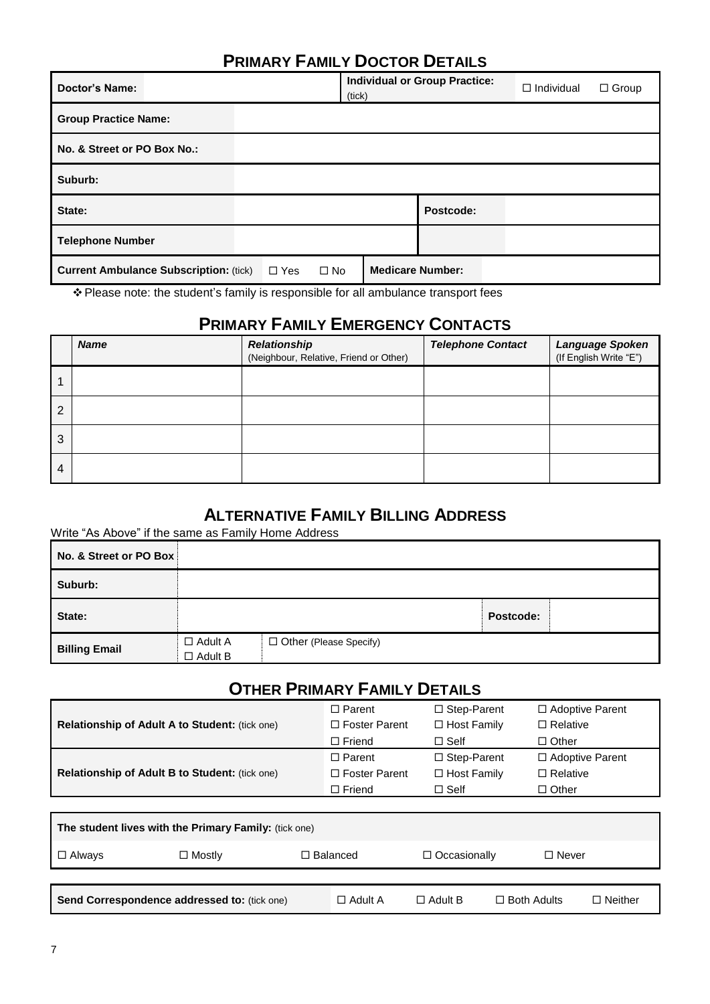### **PRIMARY FAMILY DOCTOR DETAILS**

| <b>Doctor's Name:</b>                         | (tick)                     | <b>Individual or Group Practice:</b> | $\Box$ Individual<br>$\Box$ Group |
|-----------------------------------------------|----------------------------|--------------------------------------|-----------------------------------|
| <b>Group Practice Name:</b>                   |                            |                                      |                                   |
| No. & Street or PO Box No.:                   |                            |                                      |                                   |
| Suburb:                                       |                            |                                      |                                   |
| State:                                        |                            | Postcode:                            |                                   |
| <b>Telephone Number</b>                       |                            |                                      |                                   |
| <b>Current Ambulance Subscription: (tick)</b> | $\Box$ Yes<br>$\square$ No | <b>Medicare Number:</b>              |                                   |

Please note: the student's family is responsible for all ambulance transport fees

# **PRIMARY FAMILY EMERGENCY CONTACTS**

|   | <b>Name</b> | Relationship<br>(Neighbour, Relative, Friend or Other) | <b>Telephone Contact</b> | Language Spoken<br>(If English Write "E") |
|---|-------------|--------------------------------------------------------|--------------------------|-------------------------------------------|
|   |             |                                                        |                          |                                           |
| 2 |             |                                                        |                          |                                           |
| 3 |             |                                                        |                          |                                           |
| 4 |             |                                                        |                          |                                           |

### **ALTERNATIVE FAMILY BILLING ADDRESS**

Write "As Above" if the same as Family Home Address

| No. & Street or PO Box |                                  |                          |           |  |
|------------------------|----------------------------------|--------------------------|-----------|--|
| Suburb:                |                                  |                          |           |  |
| State:                 |                                  |                          | Postcode: |  |
| <b>Billing Email</b>   | $\Box$ Adult A<br>$\Box$ Adult B | □ Other (Please Specify) |           |  |

# **OTHER PRIMARY FAMILY DETAILS**

|                                                       | $\Box$ Parent        | $\Box$ Step-Parent | $\Box$ Adoptive Parent |  |  |
|-------------------------------------------------------|----------------------|--------------------|------------------------|--|--|
| <b>Relationship of Adult A to Student: (tick one)</b> | $\Box$ Foster Parent | $\Box$ Host Family | $\Box$ Relative        |  |  |
|                                                       | $\Box$ Friend        | $\Box$ Self        | $\Box$ Other           |  |  |
|                                                       | $\Box$ Parent        | $\Box$ Step-Parent | $\Box$ Adoptive Parent |  |  |
| <b>Relationship of Adult B to Student: (tick one)</b> | $\Box$ Foster Parent | $\Box$ Host Family | $\Box$ Relative        |  |  |
|                                                       | $\Box$ Friend        | $\Box$ Self        | $\Box$ Other           |  |  |
|                                                       |                      |                    |                        |  |  |
| The student lives with the Primary Family: (tick one) |                      |                    |                        |  |  |
| $\Box$ Always<br>$\Box$ Mostly                        | $\Box$ Balanced      | □ Occasionally     | $\Box$ Never           |  |  |
|                                                       |                      |                    |                        |  |  |

| Send Correspondence addressed to: (tick one) | □ Adult A | $\Box$ Adult B | $\Box$ Both Adults | $\Box$ Neither |
|----------------------------------------------|-----------|----------------|--------------------|----------------|
|                                              |           |                |                    |                |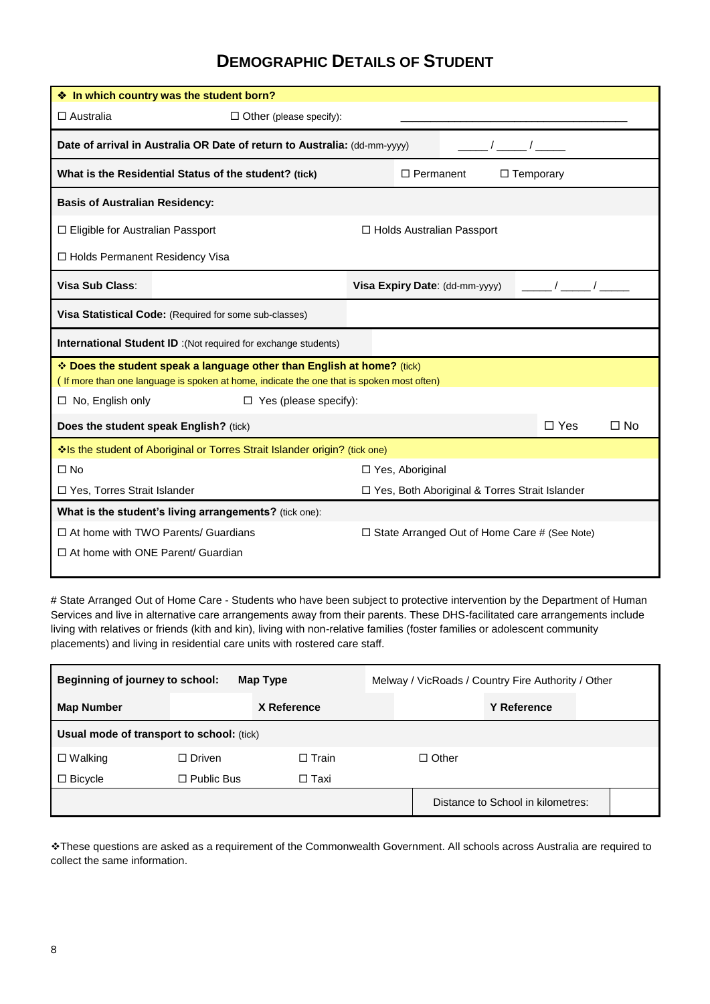### **DEMOGRAPHIC DETAILS OF STUDENT**

|                                                                                  | ❖ In which country was the student born?                                                                                                                            |                                                     |                            |  |  |  |  |  |
|----------------------------------------------------------------------------------|---------------------------------------------------------------------------------------------------------------------------------------------------------------------|-----------------------------------------------------|----------------------------|--|--|--|--|--|
| $\Box$ Australia                                                                 | $\Box$ Other (please specify):                                                                                                                                      |                                                     |                            |  |  |  |  |  |
|                                                                                  | Date of arrival in Australia OR Date of return to Australia: (dd-mm-yyyy)                                                                                           |                                                     |                            |  |  |  |  |  |
|                                                                                  | What is the Residential Status of the student? (tick)                                                                                                               | $\Box$ Permanent<br>$\Box$ Temporary                |                            |  |  |  |  |  |
| <b>Basis of Australian Residency:</b>                                            |                                                                                                                                                                     |                                                     |                            |  |  |  |  |  |
| □ Eligible for Australian Passport<br>$\Box$ Holds Australian Passport           |                                                                                                                                                                     |                                                     |                            |  |  |  |  |  |
| □ Holds Permanent Residency Visa                                                 |                                                                                                                                                                     |                                                     |                            |  |  |  |  |  |
| Visa Sub Class:                                                                  |                                                                                                                                                                     | Visa Expiry Date: (dd-mm-yyyy)                      |                            |  |  |  |  |  |
| Visa Statistical Code: (Required for some sub-classes)                           |                                                                                                                                                                     |                                                     |                            |  |  |  |  |  |
|                                                                                  | <b>International Student ID</b> :(Not required for exchange students)                                                                                               |                                                     |                            |  |  |  |  |  |
|                                                                                  | * Does the student speak a language other than English at home? (tick)<br>(If more than one language is spoken at home, indicate the one that is spoken most often) |                                                     |                            |  |  |  |  |  |
| $\Box$ No, English only                                                          | $\Box$ Yes (please specify):                                                                                                                                        |                                                     |                            |  |  |  |  |  |
|                                                                                  | Does the student speak English? (tick)                                                                                                                              |                                                     | $\Box$ Yes<br>$\square$ No |  |  |  |  |  |
|                                                                                  | Is the student of Aboriginal or Torres Strait Islander origin? (tick one)                                                                                           |                                                     |                            |  |  |  |  |  |
| $\Box$ No                                                                        |                                                                                                                                                                     | □ Yes, Aboriginal                                   |                            |  |  |  |  |  |
| □ Yes, Torres Strait Islander<br>□ Yes, Both Aboriginal & Torres Strait Islander |                                                                                                                                                                     |                                                     |                            |  |  |  |  |  |
|                                                                                  | What is the student's living arrangements? (tick one):                                                                                                              |                                                     |                            |  |  |  |  |  |
|                                                                                  | $\Box$ At home with TWO Parents/ Guardians                                                                                                                          | $\Box$ State Arranged Out of Home Care # (See Note) |                            |  |  |  |  |  |
| $\Box$ At home with ONE Parent/ Guardian                                         |                                                                                                                                                                     |                                                     |                            |  |  |  |  |  |
|                                                                                  |                                                                                                                                                                     |                                                     |                            |  |  |  |  |  |

# State Arranged Out of Home Care - Students who have been subject to protective intervention by the Department of Human Services and live in alternative care arrangements away from their parents. These DHS-facilitated care arrangements include living with relatives or friends (kith and kin), living with non-relative families (foster families or adolescent community placements) and living in residential care units with rostered care staff.

| Beginning of journey to school:<br>Map Type |                           | Melway / VicRoads / Country Fire Authority / Other |  |              |                                   |  |
|---------------------------------------------|---------------------------|----------------------------------------------------|--|--------------|-----------------------------------|--|
| <b>Map Number</b>                           | X Reference               |                                                    |  |              | <b>Y Reference</b>                |  |
| Usual mode of transport to school: (tick)   |                           |                                                    |  |              |                                   |  |
| $\Box$ Walking                              | $\Box$ Driven<br>□ Train_ |                                                    |  | $\Box$ Other |                                   |  |
| $\Box$ Bicycle                              | $\Box$ Public Bus         | □ Taxi                                             |  |              |                                   |  |
|                                             |                           |                                                    |  |              | Distance to School in kilometres: |  |

These questions are asked as a requirement of the Commonwealth Government. All schools across Australia are required to collect the same information.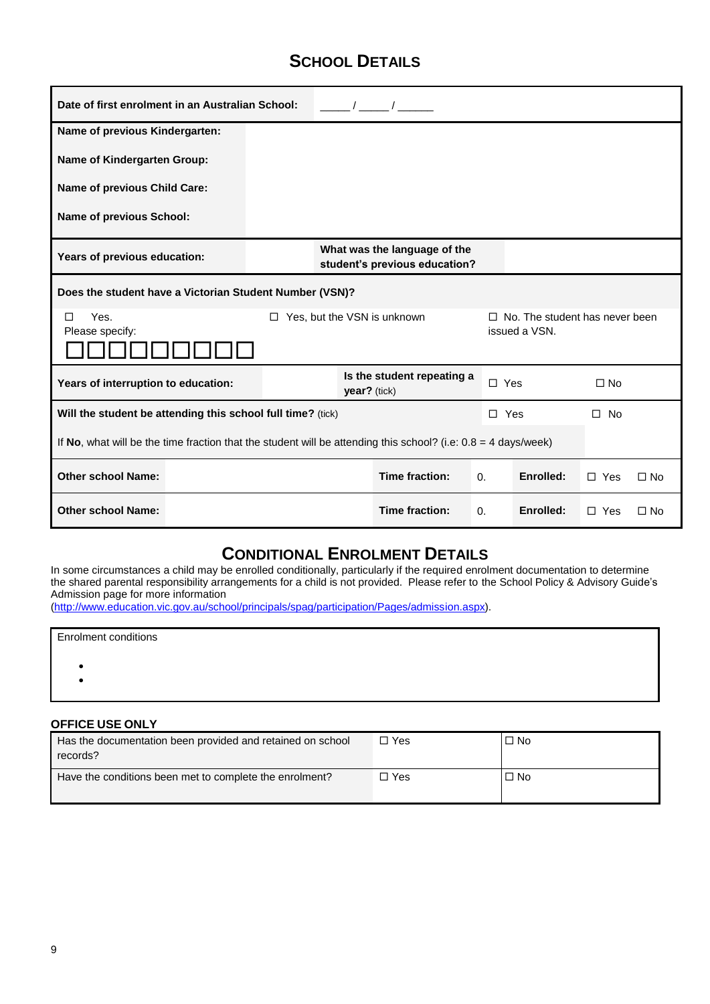## **SCHOOL DETAILS**

| Date of first enrolment in an Australian School:                                                                 |                                                               |  |                                            |  | $\sqrt{1-\frac{1}{2}}$             |            |                                                        |              |           |
|------------------------------------------------------------------------------------------------------------------|---------------------------------------------------------------|--|--------------------------------------------|--|------------------------------------|------------|--------------------------------------------------------|--------------|-----------|
| Name of previous Kindergarten:                                                                                   |                                                               |  |                                            |  |                                    |            |                                                        |              |           |
| <b>Name of Kindergarten Group:</b>                                                                               |                                                               |  |                                            |  |                                    |            |                                                        |              |           |
| Name of previous Child Care:                                                                                     |                                                               |  |                                            |  |                                    |            |                                                        |              |           |
| Name of previous School:                                                                                         |                                                               |  |                                            |  |                                    |            |                                                        |              |           |
| Years of previous education:                                                                                     | What was the language of the<br>student's previous education? |  |                                            |  |                                    |            |                                                        |              |           |
| Does the student have a Victorian Student Number (VSN)?                                                          |                                                               |  |                                            |  |                                    |            |                                                        |              |           |
| Yes.<br>П<br>Please specify:                                                                                     |                                                               |  |                                            |  | $\Box$ Yes, but the VSN is unknown |            | $\Box$ No. The student has never been<br>issued a VSN. |              |           |
| Years of interruption to education:                                                                              |                                                               |  | Is the student repeating a<br>year? (tick) |  |                                    |            | $\Box$ Yes                                             | $\Box$ No    |           |
| Will the student be attending this school full time? (tick)                                                      |                                                               |  |                                            |  |                                    |            | $\Box$ Yes                                             | $\square$ No |           |
| If No, what will be the time fraction that the student will be attending this school? (i.e: $0.8 = 4$ days/week) |                                                               |  |                                            |  |                                    |            |                                                        |              |           |
| <b>Other school Name:</b>                                                                                        |                                                               |  |                                            |  | Time fraction:                     | 0.         | Enrolled:                                              | $\Box$ Yes   | $\Box$ No |
| <b>Other school Name:</b>                                                                                        |                                                               |  |                                            |  | Time fraction:                     | $\Omega$ . | Enrolled:                                              | $\Box$ Yes   | $\Box$ No |

### **CONDITIONAL ENROLMENT DETAILS**

In some circumstances a child may be enrolled conditionally, particularly if the required enrolment documentation to determine the shared parental responsibility arrangements for a child is not provided. Please refer to the School Policy & Advisory Guide's Admission page for more information

[\(http://www.education.vic.gov.au/school/principals/spag/participation/Pages/admission.aspx\)](http://www.education.vic.gov.au/school/principals/spag/participation/Pages/admission.aspx).

| <b>Enrolment conditions</b> |  |  |
|-----------------------------|--|--|
|                             |  |  |
|                             |  |  |

#### **OFFICE USE ONLY**

| Has the documentation been provided and retained on school<br>records? | □ Yes | $\Box$ No |
|------------------------------------------------------------------------|-------|-----------|
| Have the conditions been met to complete the enrolment?                | □ Yes | $\Box$ No |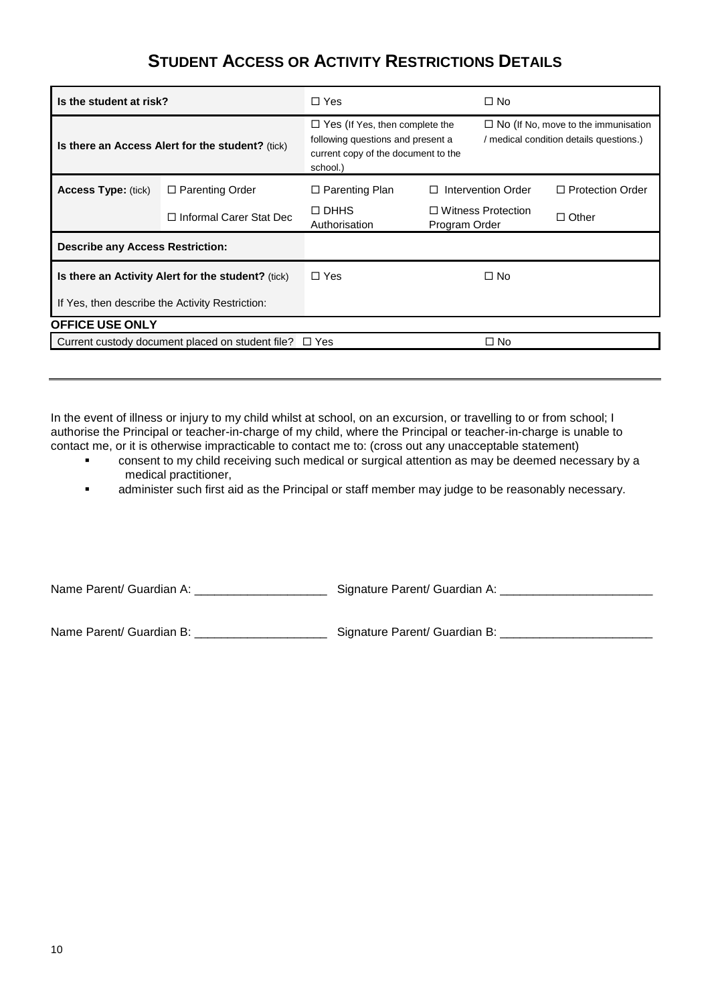### **STUDENT ACCESS OR ACTIVITY RESTRICTIONS DETAILS**

| Is the student at risk?                          |                                                             | $\Box$ Yes                                                                                                                    |               | $\Box$ No                                                                             |                         |  |  |  |
|--------------------------------------------------|-------------------------------------------------------------|-------------------------------------------------------------------------------------------------------------------------------|---------------|---------------------------------------------------------------------------------------|-------------------------|--|--|--|
| Is there an Access Alert for the student? (tick) |                                                             | $\Box$ Yes (If Yes, then complete the<br>following questions and present a<br>current copy of the document to the<br>school.) |               | $\Box$ No (If No, move to the immunisation<br>/ medical condition details questions.) |                         |  |  |  |
| <b>Access Type: (tick)</b>                       | $\Box$ Parenting Order                                      | $\Box$ Parenting Plan                                                                                                         |               | Intervention Order                                                                    | $\Box$ Protection Order |  |  |  |
|                                                  | $\Box$ Informal Carer Stat Dec                              | $\Box$ DHHS<br>Authorisation                                                                                                  | Program Order | $\Box$ Witness Protection                                                             | $\Box$ Other            |  |  |  |
| <b>Describe any Access Restriction:</b>          |                                                             |                                                                                                                               |               |                                                                                       |                         |  |  |  |
|                                                  | Is there an Activity Alert for the student? (tick)          | $\Box$ Yes                                                                                                                    |               | $\Box$ No                                                                             |                         |  |  |  |
| If Yes, then describe the Activity Restriction:  |                                                             |                                                                                                                               |               |                                                                                       |                         |  |  |  |
| <b>OFFICE USE ONLY</b>                           |                                                             |                                                                                                                               |               |                                                                                       |                         |  |  |  |
|                                                  | Current custody document placed on student file? $\Box$ Yes |                                                                                                                               |               | $\Box$ No                                                                             |                         |  |  |  |

In the event of illness or injury to my child whilst at school, on an excursion, or travelling to or from school; I authorise the Principal or teacher-in-charge of my child, where the Principal or teacher-in-charge is unable to contact me, or it is otherwise impracticable to contact me to: (cross out any unacceptable statement)

- consent to my child receiving such medical or surgical attention as may be deemed necessary by a medical practitioner,
- **administer such first aid as the Principal or staff member may judge to be reasonably necessary.**

Name Parent/ Guardian A: \_\_\_\_\_\_\_\_\_\_\_\_\_\_\_\_\_\_\_\_\_\_\_\_\_\_\_\_\_ Signature Parent/ Guardian A: \_\_\_\_\_\_\_\_\_\_\_\_\_\_\_\_\_\_\_\_\_\_\_\_\_

Name Parent/ Guardian B: \_\_\_\_\_\_\_\_\_\_\_\_\_\_\_\_\_\_\_\_\_\_\_\_\_\_\_\_ Signature Parent/ Guardian B: \_\_\_\_\_\_\_\_\_\_\_\_\_\_\_\_\_\_\_\_\_\_\_\_\_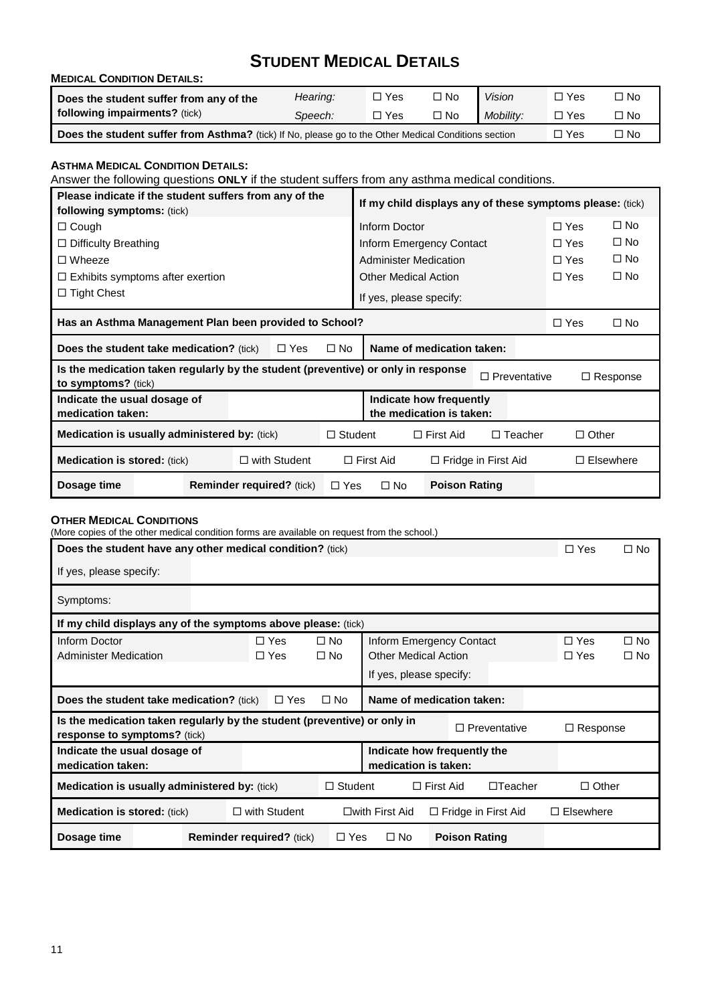# **STUDENT MEDICAL DETAILS**

| <b>MEDICAL CONDITION DETAILS:</b>                                                                    |          |            |           |               |            |      |  |  |  |
|------------------------------------------------------------------------------------------------------|----------|------------|-----------|---------------|------------|------|--|--|--|
| Does the student suffer from any of the                                                              | Hearing: | $\Box$ Yes | $\Box$ No | <b>Vision</b> | □ Yes      | □ No |  |  |  |
| following impairments? (tick)                                                                        | Speech:  | $\Box$ Yes | $\Box$ No | Mobility:     | $\Box$ Yes | □ No |  |  |  |
| Does the student suffer from Asthma? (tick) If No, please go to the Other Medical Conditions section | □ Yes    | □ No       |           |               |            |      |  |  |  |

#### **ASTHMA MEDICAL CONDITION DETAILS:**

Answer the following questions **ONLY** if the student suffers from any asthma medical conditions.

|                                                            | Please indicate if the student suffers from any of the<br>following symptoms: (tick) |  |                  |              | If my child displays any of these symptoms please: (tick) |                              |                     |              |                 |  |
|------------------------------------------------------------|--------------------------------------------------------------------------------------|--|------------------|--------------|-----------------------------------------------------------|------------------------------|---------------------|--------------|-----------------|--|
| $\Box$ Cough                                               |                                                                                      |  |                  |              | Inform Doctor                                             |                              |                     | $\Box$ Yes   | $\square$ No    |  |
| $\Box$ Difficulty Breathing                                |                                                                                      |  |                  |              |                                                           | Inform Emergency Contact     |                     | $\Box$ Yes   | $\square$ No    |  |
| $\Box$ Wheeze                                              |                                                                                      |  |                  |              |                                                           | <b>Administer Medication</b> |                     | $\Box$ Yes   | $\square$ No    |  |
|                                                            | $\Box$ Exhibits symptoms after exertion                                              |  |                  |              |                                                           | <b>Other Medical Action</b>  |                     | $\Box$ Yes   | $\Box$ No       |  |
| $\Box$ Tight Chest                                         |                                                                                      |  |                  |              |                                                           | If yes, please specify:      |                     |              |                 |  |
| Has an Asthma Management Plan been provided to School?     |                                                                                      |  |                  |              |                                                           |                              |                     | $\Box$ Yes   | $\Box$ No       |  |
|                                                            | <b>Does the student take medication?</b> (tick)                                      |  | $\square$ Yes    | $\square$ No | Name of medication taken:                                 |                              |                     |              |                 |  |
| to symptoms? (tick)                                        | Is the medication taken regularly by the student (preventive) or only in response    |  |                  |              |                                                           |                              | $\Box$ Preventative |              | $\Box$ Response |  |
| Indicate the usual dosage of<br>medication taken:          |                                                                                      |  |                  |              | Indicate how frequently<br>the medication is taken:       |                              |                     |              |                 |  |
| <b>Medication is usually administered by: (tick)</b>       |                                                                                      |  | $\Box$ Student   |              | $\Box$ First Aid                                          | $\Box$ Teacher               |                     | $\Box$ Other |                 |  |
| $\Box$ with Student<br><b>Medication is stored: (tick)</b> |                                                                                      |  | $\Box$ First Aid |              | $\Box$ Fridge in First Aid                                |                              | $\Box$ Elsewhere    |              |                 |  |
| Dosage time                                                | <b>Reminder required?</b> (tick)                                                     |  | $\Box$ Yes       | $\square$ No | <b>Poison Rating</b>                                      |                              |                     |              |                 |  |

#### **OTHER MEDICAL CONDITIONS**

(More copies of the other medical condition forms are available on request from the school.)

| Does the student have any other medical condition? (tick)                                                  |                                  |                     |                              |                                                         |                          |                              |                            |                  | $\square$ No |
|------------------------------------------------------------------------------------------------------------|----------------------------------|---------------------|------------------------------|---------------------------------------------------------|--------------------------|------------------------------|----------------------------|------------------|--------------|
| If yes, please specify:                                                                                    |                                  |                     |                              |                                                         |                          |                              |                            |                  |              |
| Symptoms:                                                                                                  |                                  |                     |                              |                                                         |                          |                              |                            |                  |              |
| If my child displays any of the symptoms above please: (tick)                                              |                                  |                     |                              |                                                         |                          |                              |                            |                  |              |
| Inform Doctor<br>$\Box$ Yes<br><b>Administer Medication</b><br>$\Box$ Yes                                  |                                  |                     | $\square$ No<br>$\square$ No | Inform Emergency Contact<br><b>Other Medical Action</b> | $\Box$ Yes<br>$\Box$ Yes | $\square$ No<br>$\square$ No |                            |                  |              |
|                                                                                                            |                                  |                     |                              | If yes, please specify:                                 |                          |                              |                            |                  |              |
| Name of medication taken:<br><b>Does the student take medication?</b> (tick)<br>$\square$ No<br>$\Box$ Yes |                                  |                     |                              |                                                         |                          |                              |                            |                  |              |
| Is the medication taken regularly by the student (preventive) or only in<br>response to symptoms? (tick)   |                                  |                     |                              |                                                         |                          |                              | □ Preventative             | $\Box$ Response  |              |
| Indicate the usual dosage of<br>medication taken:                                                          |                                  |                     |                              | Indicate how frequently the<br>medication is taken:     |                          |                              |                            |                  |              |
| <b>Medication is usually administered by: (tick)</b>                                                       |                                  |                     | $\Box$ Student               | $\Box$ Teacher<br>$\Box$ First Aid                      |                          | $\Box$ Other                 |                            |                  |              |
| <b>Medication is stored:</b> (tick)                                                                        |                                  | $\Box$ with Student |                              | $\square$ with First Aid                                |                          |                              | $\Box$ Fridge in First Aid | $\Box$ Elsewhere |              |
| Dosage time                                                                                                | <b>Reminder required?</b> (tick) |                     |                              | $\square$ No<br>$\Box$ Yes                              |                          | <b>Poison Rating</b>         |                            |                  |              |